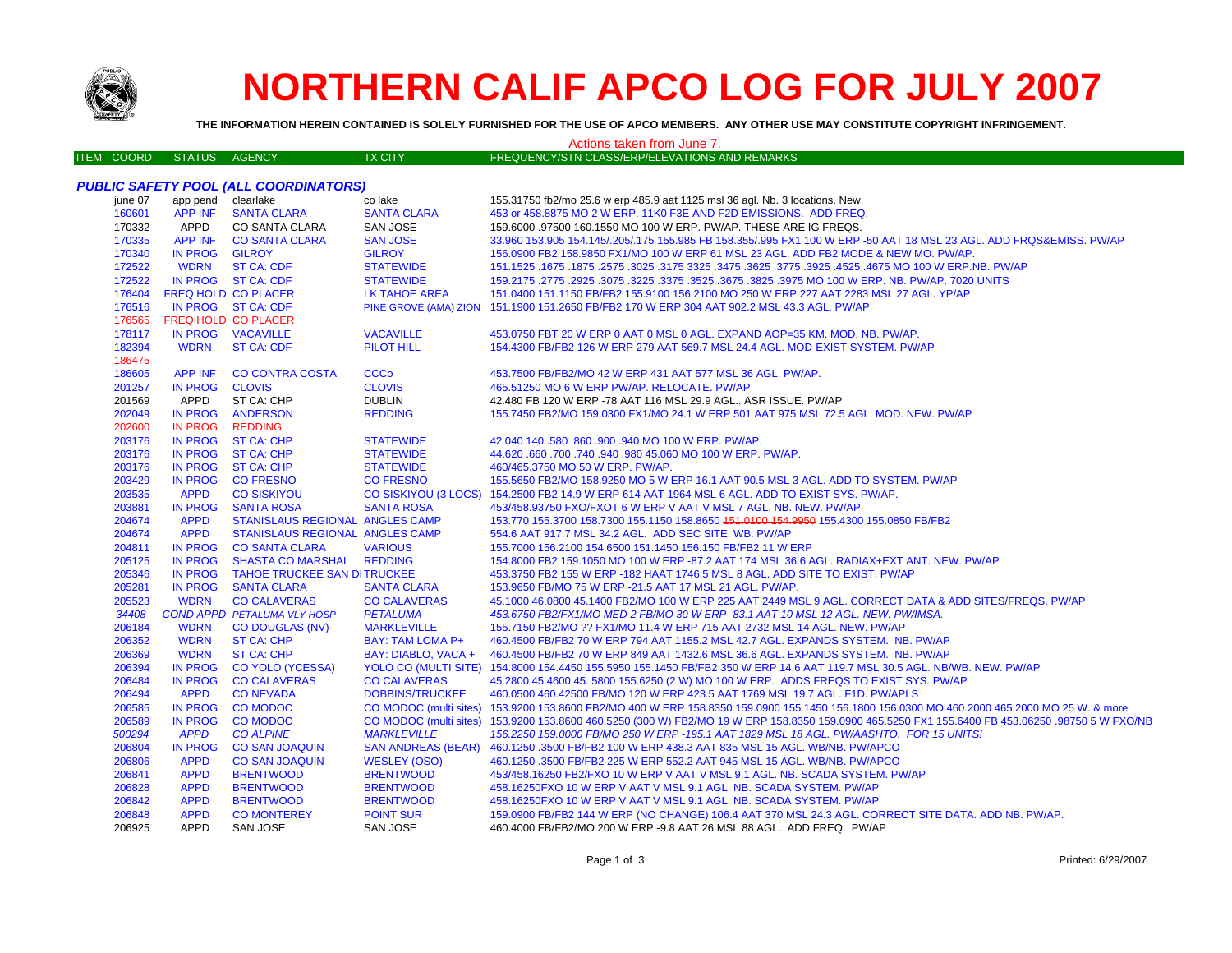

# **NORTHERN CALIF APCO LOG FOR JULY 2007**

THE INFORMATION HEREIN CONTAINED IS SOLELY FURNISHED FOR THE USE OF APCO MEMBERS. ANY OTHER USE MAY CONSTITUTE COPYRIGHT INFRINGEMENT.

#### Actions taken from June 7. FREQUENCY/STN CLASS/ERP/ELEVATIONS AND REMARKS **ITEM COORD** STATUS AGENCY **TX CITY PUBLIC SAFETY POOL (ALL COORDINATORS)** iune 07 app pend clearlake co lake 155.31750 fb2/mo 25.6 w erp 485.9 aat 1125 msl 36 agl. Nb. 3 locations. New. 160601 **APP INF SANTA CLARA SANTA CLARA** 453 or 458.8875 MO 2 W ERP. 11K0 F3E AND F2D EMISSIONS. ADD FREQ. CO SANTA CLARA 170332 APPD SAN JOSE 159.6000 .97500 160.1550 MO 100 W ERP. PW/AP. THESE ARE IG FREQS. 170335 **APP INF CO SANTA CLARA SAN JOSE** 33.960 153.905 154.145/.205/.175 155.985 FB 158.355/.995 FX1 100 W ERP -50 AAT 18 MSL 23 AGL. ADD FRQS&EMISS. PW/AP 170340 **IN PROG GILROY GILROY** 156.0900 FB2 158.9850 FX1/MO 100 W ERP 61 MSL 23 AGL. ADD FB2 MODE & NEW MO. PW/AP 172522 **WDRN ST CA: CDF STATEWIDE** 151.1525 .1675 .1875 .2575 .3025 .3175 3325 .3475 .3625 .3775 .3925 .4525 .4675 MO 100 W ERP.NB. PW/AP 172522 IN PROG ST CA: CDF **STATEWIDE** 159.2175 .2775 .2925 .3075 .3225 .3375 .3525 .3675 .3825 .3975 MO 100 W ERP. NB. PW/AP. 7020 UNITS **FREQ HOLD CO PLACER** 151.0400 151.1150 FB/FB2 155.9100 156.2100 MO 250 W ERP 227 AAT 2283 MSL 27 AGL. YP/AP 176404 LK TAHOE AREA PINE GROVE (AMA) ZION 151.1900 151.2650 FB/FB2 170 W ERP 304 AAT 902.2 MSL 43.3 AGL. PW/AP 176516 IN PROG ST CA: CDF 176565 **FREQ HOLD CO PLACER** IN PROG VACAVILLE **VACAVILLE** 453.0750 FBT 20 W ERP 0 AAT 0 MSL 0 AGL. EXPAND AOP=35 KM, MOD, NB, PW/AP, 178117 182394 **WDRN ST CA: CDF PILOT HILL** 154.4300 FB/FB2 126 W ERP 279 AAT 569.7 MSL 24.4 AGL, MOD-EXIST SYSTEM, PW/AP 186475 186605 **APP INF CO CONTRA COSTA CCCo** 453.7500 FB/FB2/MO 42 W ERP 431 AAT 577 MSL 36 AGL. PW/AP. 201257 **IN PROG CLOVIS CLOVIS** 465.51250 MO 6 W ERP PW/AP, RELOCATE, PW/AP 201569 APPD ST CA: CHP **DUBLIN** 42.480 FB 120 W ERP -78 AAT 116 MSL 29.9 AGL.. ASR ISSUE. PW/AP 155.7450 FB2/MO 159.0300 FX1/MO 24.1 W ERP 501 AAT 975 MSL 72.5 AGL. MOD. NEW. PW/AP 202049 **IN PROG ANDERSON REDDING** 202600 **IN PROG REDDING** 203176 **IN PROG ST CA: CHP STATEWIDE** 42.040 140 .580 .860 .900 .940 MO 100 W ERP. PW/AP. 203176 **IN PROG ST CA: CHP STATEWIDE** 44,620,660,700,740,940,980,45,060 MO 100 W ERP, PW/AP. 203176 IN PROG **ST CA: CHP STATEWIDE** 460/465 3750 MO 50 W FRP PW/AP 203429 **IN PROG CO FRESNO CO FRESNO** 155.5650 FB2/MO 158.9250 MO 5 W ERP 16.1 AAT 90.5 MSL 3 AGL. ADD TO SYSTEM. PW/AP 203535 **APPD CO SISKIYOU CO SISKIYOU (3 LOCS)** 154.2500 FB2 14.9 W ERP 614 AAT 1964 MSL 6 AGL. ADD TO EXIST SYS. PW/AP. 203881 453/458.93750 FXO/FXOT 6 W ERP V AAT V MSL 7 AGL. NB. NEW. PW/AP **IN PROG SANTA ROSA SANTA ROSA** 153.770 155.3700 158.7300 155.1150 158.8650 151.0100 154.9950 155.4300 155.0850 FB/FB2 204674 **APPD STANISLAUS REGIONAL ANGLES CAMP** 204674 **APPD STANISLAUS REGIONAL ANGLES CAMP** 554.6 AAT 917.7 MSL 34.2 AGL. ADD SEC SITE, WB, PW/AP 204811 IN PROG **CO SANTA CLARA VARIOUS** 155,7000 156,2100 154,6500 151,1450 156,150 FB/FB2 11 W ERP **SHASTA CO MARSHAL** 205125 **IN PROG REDDING** 154,8000 FB2 159,1050 MO 100 W ERP -87.2 AAT 174 MSL 36.6 AGL, RADIAX+EXT ANT, NEW, PW/AP IN PROG **TAHOE TRUCKEE SAN DITRUCKEE** 453,3750 FB2 155 W ERP -182 HAAT 1746.5 MSL 8 AGL, ADD SITE TO EXIST, PW/AP 205346 205281 IN PROG **SANTA CLARA SANTA CLARA** 153.9650 FB/MO 75 W ERP -21.5 AAT 17 MSL 21 AGL. PW/AP. **CO CALAVERAS** 45.1000 46.0800 45.1400 FB2/MO 100 W ERP 225 AAT 2449 MSL 9 AGL. CORRECT DATA & ADD SITES/FREQS. PW/AP 205523 **WDRN CO CALAVERAS COND APPD PETALUMA VLY HOSP** 453.6750 FB2/FX1/MO MED 2 FB/MO 30 W ERP -83.1 AAT 10 MSL 12 AGL. NEW. PW/IMSA. 34408 **PETALUMA** 206184 **WDRN CO DOUGLAS (NV) MARKLEVILLE** 155.7150 FB2/MO ?? FX1/MO 11.4 W ERP 715 AAT 2732 MSL 14 AGL. NEW. PW/AP 206352 **WDRN** BAY: TAM LOMA P+ 460.4500 FB/FB2 70 W ERP 794 AAT 1155.2 MSL 42.7 AGL. EXPANDS SYSTEM. NB. PW/AP **ST CA: CHP** 206369 **WDRN ST CA: CHP** BAY: DIABLO, VACA + 460,4500 FB/FB2 70 W ERP 849 AAT 1432.6 MSL 36.6 AGL, EXPANDS SYSTEM, NB, PW/AP 206394 IN PROG **CO YOLO (YCESSA) YOLO CO (MULTI SITE)** 154,8000 154,4450 155,5950 155,1450 FB/FB2 350 W ERP 14.6 AAT 119.7 MSL 30.5 AGL, NB/WB, NEW, PW/AP 206484 **IN PROG CO CALAVERAS CO CALAVERAS** 45.2800 45.4600 45.5800 155.6250 (2 W) MO 100 W ERP. ADDS FREQS TO EXIST SYS. PW/AP 206494 **APPD CONEVADA DOBBINS/TRUCKEE** 460.0500 460.42500 FB/MO 120 W ERP 423.5 AAT 1769 MSL 19.7 AGL. F1D. PW/APLS 206585 **IN PROG CO MODOC** CO MODOC (multi sites) 153.9200 153.8600 FB2/MO 400 W ERP 158.8350 159.0900 155.1450 156.1800 156.0300 MO 460.2000 465.2000 MO 25 W. & more 206589 **IN PROG CO MODOC** CO MODOC (multi sites) 153,9200 153,8600 460,5250 (300 W) FB2/MO 19 W ERP 158,8350 159,0900 465,5250 FX1 155,6400 FB 453,06250 ,98750 5 W FXO/NB 500294 **APPD CO ALPINE MARKLEVILLE** 156.2250 159.0000 FB/MO 250 W ERP - 195.1 AAT 1829 MSL 18 AGL. PW/AASHTO. FOR 15 UNITS! 206804 **IN PROG CO SAN JOAQUIN SAN ANDREAS (BEAR)** 460.1250.3500 FB/FB2 100 W ERP 438.3 AAT 835 MSL 15 AGL. WB/NB. PW/APCO **APPD** 206806 **CO SAN JOAQUIN WESLEY (OSO)** 460.1250 .3500 FB/FB2 225 W ERP 552.2 AAT 945 MSL 15 AGL. WB/NB. PW/APCO 206841 **APPD BRENTWOOD BRENTWOOD** 453/458.16250 FB2/FXO 10 W ERP V AAT V MSL 9.1 AGL, NB, SCADA SYSTEM, PW/AP 206828 **APPD BRENTWOOD BRENTWOOD** 458.16250 FXO 10 W ERP V AAT V MSL 9.1 AGL, NB, SCADA SYSTEM, PWAP 206842 **APPD BRENTWOOD BRENTWOOD** 458.16250FXO 10 W ERP V AAT V MSL 9.1 AGL, NB, SCADA SYSTEM, PW/AP 206848 **APPD CO MONTEREY** 159.0900 FB/FB2 144 W ERP (NO CHANGE) 106.4 AAT 370 MSL 24.3 AGL. CORRECT SITE DATA. ADD NB. PW/AP. **POINT SUR** 206925 **APPD** SAN JOSE SAN JOSE 460.4000 FB/FB2/MO 200 W ERP -9.8 AAT 26 MSL 88 AGL. ADD FREQ. PW/AP

Printed: 6/29/2007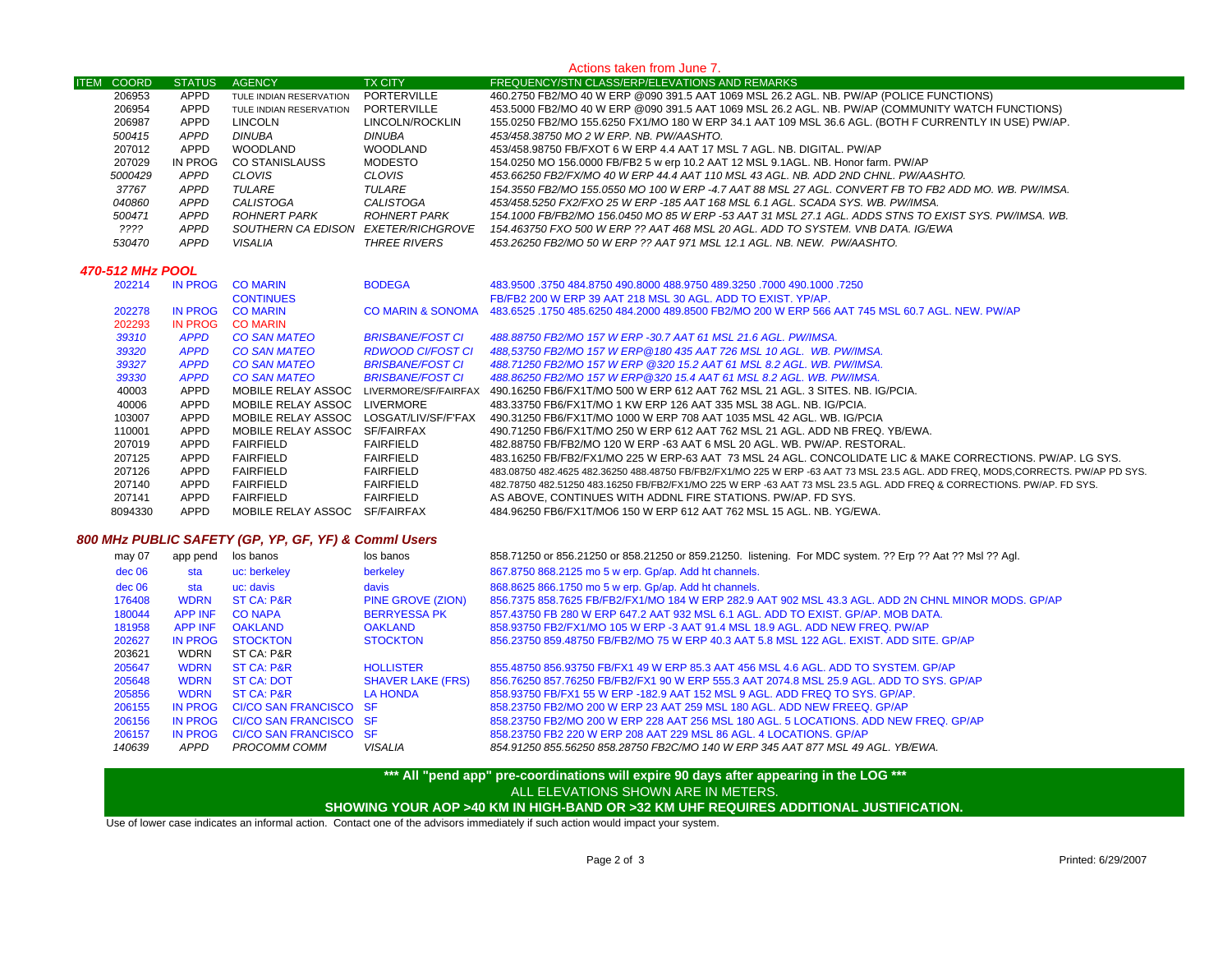#### **ITEM COORD STATUS AGENCY TX CITY FREQUENCY/STN CLASS/ERP/ELEVATIONS AND REMARKS** Actions taken from June 7. APPD TULE INDIAN RESERVATION PORTERVILLE 460.2750 FB2/MO 40 W ERP @090 391.5 AAT 1069 MSL 26.2 AGL. NB. PW/AP (POLICE FUNCTIONS) APPDAPPD TULE INDIAN RESERVATION PORTERVILLE 453.5000 FB2/MO 40 W ERP @090 391.5 AAT 1069 MSL 26.2 AGL. NB. PW/AP (COMMUNITY WATCH FUNCTIONS)<br>APPD LINCOLN LINCOLN/ROCKLIN 155.0250 FB2/MO 155.6250 FX1/MO 180 W ERP 34.1 AAT 109 APPD LINCOLN LINCOLN/ROCKLIN 155.0250 FB2/MO 155.6250 FX1/MO 180 W ERP 34.1 AAT 109 MSL 36.6 AGL. (BOTH F CURRENTLY IN USE) PW/AP.  *APPD DINUBA DINUBA 453/458.38750 MO 2 W ERP. NB. PW/AASHTO.* APPD WOODLAND WOODLAND 453/458.98750 FB/FXOT 6 W ERP 4.4 AAT 17 MSL 7 AGL. NB. DIGITAL. PW/AP IN PROG CO STANISLAUSS MODESTO 154.0250 MO 156.0000 FB/FB2 5 w erp 10.2 AAT 12 MSL 9.1AGL. NB. Honor farm. PW/AP  *APPD CLOVIS CLOVIS 453.66250 FB2/FX/MO 40 W ERP 44.4 AAT 110 MSL 43 AGL. NB. ADD 2ND CHNL. PW/AASHTO. APPD TULARE TULARE 154.3550 FB2/MO 155.0550 MO 100 W ERP -4.7 AAT 88 MSL 27 AGL. CONVERT FB TO FB2 ADD MO. WB. PW/IMSA. APPD CALISTOGA CALISTOGA 453/458.5250 FX2/FXO 25 W ERP -185 AAT 168 MSL 6.1 AGL. SCADA SYS. WB. PW/IMSA. APPD ROHNERT PARK ROHNERT PARK 154.1000 FB/FB2/MO 156.0450 MO 85 W ERP -53 AAT 31 MSL 27.1 AGL. ADDS STNS TO EXIST SYS. PW/IMSA. WB. ???? APPD SOUTHERN CA EDISON EXETER/RICHGROVE 154.463750 FXO 500 W ERP ?? AAT 468 MSL 20 AGL. ADD TO SYSTEM. VNB DATA. IG/EWA APPD VISALIA THREE RIVERS 453.26250 FB2/MO 50 W ERP ?? AAT 971 MSL 12.1 AGL. NB. NEW. PW/AASHTO. 470-512 MHz POOL* IN PROG CO MARIN BODEGA 483.9500 .3750 484.8750 490.8000 488.9750 489.3250 .7000 490.1000 .7250CONTINUES FB/FB2 200 W ERP 39 AAT 218 MSL 30 AGL. ADD TO EXIST. YP/AP. IN PROG CO MARIN CO MARIN & SONOMA 483.6525 .1750 485.6250 484.2000 489.8500 FB2/MO 200 W ERP 566 AAT 745 MSL 60.7 AGL. NEW. PW/AP IN PROG CO MARIN *APPD CO SAN MATEO BRISBANE/FOST CI 488.88750 FB2/MO 157 W ERP -30.7 AAT 61 MSL 21.6 AGL. PW/IMSA. APPD CO SAN MATEO RDWOOD CI/FOST CI 488,53750 FB2/MO 157 W ERP@180 435 AAT 726 MSL 10 AGL. WB. PW/IMSA. APPD CO SAN MATEO BRISBANE/FOST CI 488.71250 FB2/MO 157 W ERP @320 15.2 AAT 61 MSL 8.2 AGL. WB. PW/IMSA. APPD CO SAN MATEO BRISBANE/FOST CI 488.86250 FB2/MO 157 W ERP@320 15.4 AAT 61 MSL 8.2 AGL. WB. PW/IMSA.* APPD MOBILE RELAY ASSOC LIVERMORE/SF/FAIRFAX 490.16250 FB6/FX1T/MO 500 W ERP 612 AAT 762 MSL 21 AGL. 3 SITES. NB. IG/PCIA. APPD MOBILE RELAY ASSOC LIVERMORE 483.33750 FB6/FX1T/MO 1 KW ERP 126 AAT 335 MSL 38 AGL. NB. IG/PCIA. APPD MOBILE RELAY ASSOC LOSGAT/LIV/SF/F'FAX 490.31250 FB6/FX1T/MO 1000 W ERP 708 AAT 1035 MSL 42 AGL. WB. IG/PCIA APPD MOBILE RELAY ASSOC SF/FAIRFAX 490.71250 FB6/FX1T/MO 250 W ERP 612 AAT 762 MSL 21 AGL. ADD NB FREQ. YB/EWA. APPD FAIRFIELD FAIRFIELD 482.88750 FB/FB2/MO 120 W ERP -63 AAT 6 MSL 20 AGL. WB. PW/AP. RESTORAL. APPD FAIRFIELD FAIRFIELD 483.16250 FB/FB2/FX1/MO 225 W ERP-63 AAT 73 MSL 24 AGL. CONCOLIDATE LIC & MAKE CORRECTIONS. PW/AP. LG SYS. APPD FAIRFIELD FAIRFIELD 483.08750 482.4625 482.36250 488.48750 FB/FB2/FX1/MO 225 W ERP -63 AAT 73 MSL 23.5 AGL. ADD FREQ, MODS,CORRECTS. PW/AP PD SYS. APPD FAIRFIELD FAIRFIELD 482.78750 482.51250 483.16250 FB/FB2/FX1/MO 225 W ERP -63 AAT 73 MSL 23.5 AGL. ADD FREQ & CORRECTIONS. PW/AP. FD SYS. APPD FAIRFIELD FAIRFIELD AS ABOVE, CONTINUES WITH ADDNL FIRE STATIONS. PW/AP. FD SYS. APPD MOBILE RELAY ASSOC SF/FAIRFAX 484.96250 FB6/FX1T/MO6 150 W ERP 612 AAT 762 MSL 15 AGL. NB. YG/EWA.

# *800 MHz PUBLIC SAFETY (GP, YP, GF, YF) & Comml Users*

| may 07 | app pend       | los banos              | los banos                | 858.71250 or 856.21250 or 858.21250 or 859.21250. listening. For MDC system. ?? Erp ?? Aat ?? Msl ?? Agl. |
|--------|----------------|------------------------|--------------------------|-----------------------------------------------------------------------------------------------------------|
| dec 06 | sta            | uc: berkeley           | berkeley                 | 867.8750 868.2125 mo 5 w erp. Gp/ap. Add ht channels.                                                     |
| dec 06 | sta            | uc: davis              | davis                    | 868.8625 866.1750 mo 5 w erp. Gp/ap. Add ht channels.                                                     |
| 176408 | <b>WDRN</b>    | ST CA: P&R             | <b>PINE GROVE (ZION)</b> | 856.7375 858.7625 FB/FB2/FX1/MO 184 W ERP 282.9 AAT 902 MSL 43.3 AGL. ADD 2N CHNL MINOR MODS. GP/AP       |
| 180044 | <b>APP INF</b> | <b>CO NAPA</b>         | <b>BERRYESSA PK</b>      | 857-43750 FB 280 W ERP 647.2 AAT 932 MSL 6.1 AGL. ADD TO EXIST, GP/AP, MOB DATA,                          |
| 181958 | <b>APP INF</b> | <b>OAKLAND</b>         | <b>OAKLAND</b>           | 858.93750 FB2/FX1/MO 105 W ERP -3 AAT 91.4 MSL 18.9 AGL, ADD NEW FREQ, PW/AP                              |
| 202627 | IN PROG        | <b>STOCKTON</b>        | <b>STOCKTON</b>          | 856.23750 859.48750 FB/FB2/MO 75 W ERP 40.3 AAT 5.8 MSL 122 AGL. EXIST. ADD SITE. GP/AP                   |
| 203621 | <b>WDRN</b>    | ST CA: P&R             |                          |                                                                                                           |
| 205647 | <b>WDRN</b>    | <b>ST CA: P&amp;R</b>  | <b>HOLLISTER</b>         | 855.48750 856.93750 FB/FX1 49 W ERP 85.3 AAT 456 MSL 4.6 AGL, ADD TO SYSTEM, GP/AP                        |
| 205648 | <b>WDRN</b>    | <b>ST CA: DOT</b>      | <b>SHAVER LAKE (FRS)</b> | 856.76250 857.76250 FB/FB2/FX1 90 W ERP 555.3 AAT 2074.8 MSL 25.9 AGL. ADD TO SYS. GP/AP                  |
| 205856 | <b>WDRN</b>    | ST CA: P&R             | <b>LA HONDA</b>          | 858,93750 FB/FX1 55 W ERP -182.9 AAT 152 MSL 9 AGL, ADD FREQ TO SYS, GP/AP.                               |
| 206155 | IN PROG        | CI/CO SAN FRANCISCO SF |                          | 858.23750 FB2/MO 200 W ERP 23 AAT 259 MSL 180 AGL, ADD NEW FREEQ, GP/AP                                   |
| 206156 | IN PROG        | CI/CO SAN FRANCISCO SF |                          | 858.23750 FB2/MO 200 W ERP 228 AAT 256 MSL 180 AGL, 5 LOCATIONS, ADD NEW FREQ, GP/AP                      |
| 206157 | IN PROG        | CI/CO SAN FRANCISCO SF |                          | 858,23750 FB2 220 W ERP 208 AAT 229 MSL 86 AGL, 4 LOCATIONS, GP/AP                                        |
| 140639 | APPD           | PROCOMM COMM           | VISALIA                  | 854 91250 855 56250 858 28750 FB2C/MO 140 W ERP 345 AAT 877 MSL 49 AGL. YB/EWA.                           |

## **\*\*\* All "pend app" pre-coordinations will expire 90 days after appearing in the LOG \*\*\* SHOWING YOUR AOP >40 KM IN HIGH-BAND OR >32 KM UHF REQUIRES ADDITIONAL JUSTIFICATION.**  ALL ELEVATIONS SHOWN ARE IN METERS.

Use of lower case indicates an informal action. Contact one of the advisors immediately if such action would impact your system.